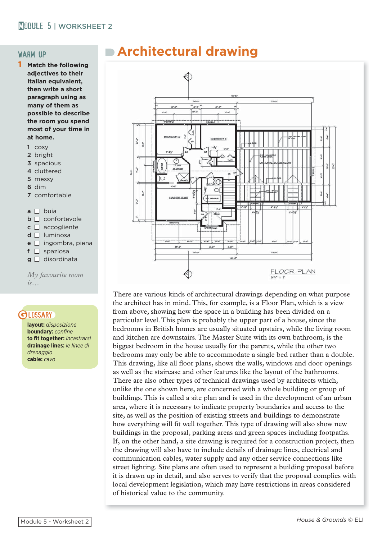## MORKSHEET 2

#### warm up

- **Match the following adjectives to their Italian equivalent, then write a short paragraph using as many of them as possible to describe the room you spend most of your time in at home.**
	- 1 cosy
	- 2 bright
	- 3 spacious
	- 4 cluttered
	- 5 messy
	- 6 dim
	- 7 comfortable

 $a \Box$  buia

- $\Box$  **confortevole**
- $c \Box$  accogliente
- $d \Box$  luminosa
- $e \Box$  ingombra, piena
- $f \Box$  spaziosa
- $g \Box$  disordinata

*My favourite room is…*

### **GLOSSARY**

**layout:** *disposizione* **boundary:** *confine* **to fit together:** *incastrarsi* **drainage lines:** *le linee di drenaggio* **cable:** *cavo*

# **Architectural drawing**



There are various kinds of architectural drawings depending on what purpose the architect has in mind. This, for example, is a Floor Plan, which is a view from above, showing how the space in a building has been divided on a particular level. This plan is probably the upper part of a house, since the bedrooms in British homes are usually situated upstairs, while the living room and kitchen are downstairs. The Master Suite with its own bathroom, is the biggest bedroom in the house usually for the parents, while the other two bedrooms may only be able to accommodate a single bed rather than a double. This drawing, like all floor plans, shows the walls, windows and door openings as well as the staircase and other features like the layout of the bathrooms. There are also other types of technical drawings used by architects which, unlike the one shown here, are concerned with a whole building or group of buildings. This is called a site plan and is used in the development of an urban area, where it is necessary to indicate property boundaries and access to the site, as well as the position of existing streets and buildings to demonstrate how everything will fit well together. This type of drawing will also show new buildings in the proposal, parking areas and green spaces including footpaths. If, on the other hand, a site drawing is required for a construction project, then the drawing will also have to include details of drainage lines, electrical and communication cables, water supply and any other service connections like street lighting. Site plans are often used to represent a building proposal before it is drawn up in detail, and also serves to verify that the proposal complies with local development legislation, which may have restrictions in areas considered of historical value to the community.